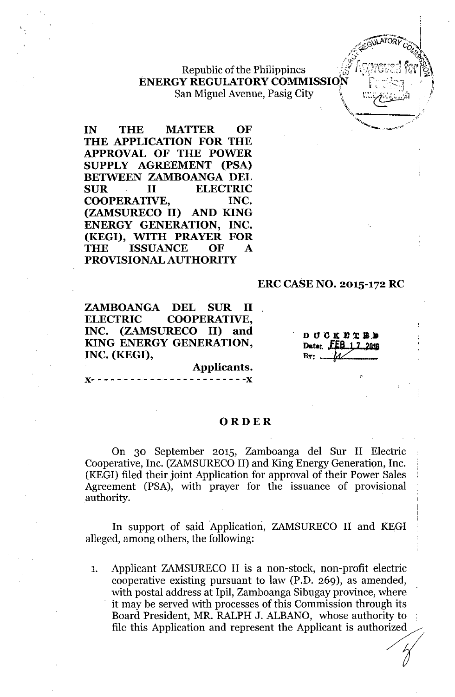bl  $f_{\rm eff}$   $f_{\rm eff}$   $r_{\rm eff}$   $r_{\rm eff}$   $\sim$   $/2$   $/$   $/$   $r_{\rm eff}$   $\sim$   $/2$ , Repu IC0 t e 1Ippmes . ;uJ;;}::~;\J\j~,'l u,,1 .~l **ENERGY REGULATORY COMMISSION** San Miguel Avenue, Pasig City

**IN THE MATTER OF THE APPLICATION FOR THE APPROVAL OF THE POWER SUPPLY AGREEMENT (PSA) BETWEEN ZAMBOANGA DEL SUR II ELECTRIC COOPERATIVE, INC. (ZAMSURECO II) AND KING ENERGY GENERATION, INC. (KEGI), WITH PRAYER FOR THE ISSUANCE OF A PROVISIONAL AUTHORITY**

#### **ERC CASE NO. 2015-172 RC**

I

*/"..-~/\.,J- ~TOky-c."'~, 0*  $\mathscr{A}$ .  $\mathscr{A}$ . *<sup>I</sup> ...' 'tJ]* i\

*\.\_--J'* -",

**ZAMBOANGA DEL SUR II ELECTRIC COOPERATIVE, INC. (ZAMSURECO II) and KING ENERGY GENERATION, INC. (KEGI),**

**DUCKETED** Date: FEB 1, 7, 2018  $Br: \ldots M$ 

)(- - - - - - - - - - - - - - - - - - - - - - **- -)(**

#### **ORDER**

**Applicants.**

On 30 September 2015, Zamboanga del Sur II Electric Cooperative, Inc. (ZAMSURECO II) and King Energy Generation, Inc. (KEG!) filed their joint Application for approval of their Power Sales Agreement (PSA), with prayer for the issuance of provisional authority.

In support of said Application, ZAMSURECO II and KEGI alleged, among others, the following:

1. Applicant ZAMSURECO II is a non-stock, non-profit electric cooperative existing pursuant to law (P.D. 269), as amended, with postal address at Ipil, Zamboanga Sibugay province, where it may be served with processes of this Commission through its Board President, MR. RALPH J. ALBANO, whose authority to cooperative existing pursuant to law (P.D. 209), as amended,<br>with postal address at Ipil, Zamboanga Sibugay province, where<br>it may be served with processes of this Commission through its<br>Board President, MR. RALPH J. ALBAN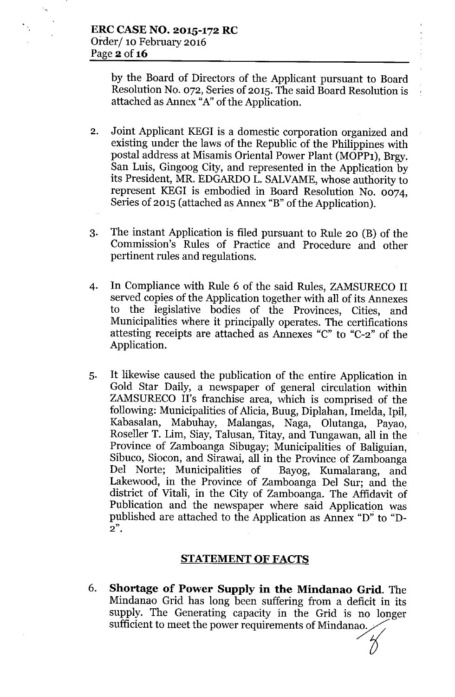by the Board of Directors of the Applicant pursuant to Board Resolution No. 072, Series of 2015. The said Board Resolution is attached as Annex "A"of the Application.

- 2. Joint Applicant KEGI is a domestic corporation organized and existing under the laws of the Republic of the Philippines with postal address at Misamis Oriental Power Plant (MOPP1), Brgy. San Luis, Gingoog City, and represented in the Application by its President, MR. EDGARDO L. SALVAME, whose authority to represent KEG! is embodied in Board Resolution No. 0074, Series of 2015 (attached as Annex "B" of the Application).
- 3. The instant Application is filed pursuant to Rule 20 (B) of the Commission's Rules of Practice and Procedure and other pertinent rules and regulations.
- 4. In Compliance with Rule 6 of the said Rules, ZAMSURECO II served copies of the Application together with all of its Annexes to the legislative bodies of the Provinces, Cities, and Municipalities where it principally operates. The certifications attesting receipts are attached as Annexes "C" to "C-2" of the Application.
- 5. It likewise caused the publication of the entire Application in Gold Star Daily, a newspaper of general circulation within ZAMSURECO II's franchise area, which is comprised of the following: Municipalities of Alicia, Buug, Diplahan, Imelda, Ipil, Kabasalan, Mabuhay, Malangas, Naga, Olutanga, Payao, Roseller T. Lim, Siay, Talusan, Titay, and Tungawan, all in the Province of Zamboanga Sibugay; Municipalities of Baliguian, Sibuco, Siocon, and Sirawai, all in the Province of Zamboanga Del Norte; Municipalities of Bayog, Kumalarang, and Lakewood, in the Province of Zamboanga Del Sur; and the district of Vitali, in the City of Zamboanga. The Affidavit of Publication and the newspaper where said Application was published are attached to the Application as Annex "D" to "D-**2".**

### **STATEMENT OF FACTS**

6. **Shortage of Power Supply in the Mindanao Grid.** The Mindanao Grid has long been suffering from a deficit in its supply. The Generating capacity in the Grid is no longer sufficient to meet the power requirements of Mindanao.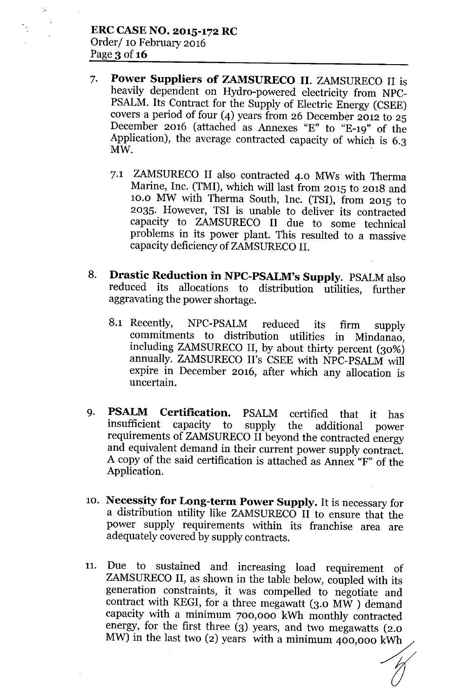'.'

- 7. Power Suppliers of ZAMSURECO II. ZAMSURECO II is heavily dependent on Hydro-powered electricity from NPC-PSALM. Its Contract for the Supply of Electric Energy (CSEE) covers a period of four (4) years from 26 December 2012 to 25 December 2016 (attached as Annexes "E" to "E-19" of the Application), the average contracted capacity of which is 6.3  $\mathbf{M}\mathbf{W}$ .
	- 7.1 ZAMSURECO II also contracted 4.0 MWs with Therma Marine, Inc. (TMI), which will last from 2015 to 2018 and 10.0 MW with Therma South, Inc. (TSI), from 2015 to 2035. However, TSI is unable to deliver its contracted capacity to ZAMSURECO II due to some technical problems in its power plant. This resulted to a massive capacity deficiency of ZAMSURECO II.
- 8. Drastic Reduction in NPC-PSALM's Supply. PSALMalso reduced its allocations to distribution utilities, further aggravating the power shortage.
	- 8.1 Recently, NPC-PSALM reduced its firm supply commitments to distribution utilities in Mindanao, including ZAMSURECO II, by about thirty percent (30%) annually. ZAMSURECO II's CSEE with NPC-PSALM will expire in December 2016, after which any allocation is uncertain.
- 9. **PSALM Certification.** PSALM certified that it has insufficient capacity to supply the additional nower supply the additional power requirements of ZAMSURECO II beyond the contracted energy and equivalent demand in their current power supply contract. A copy of the said certification is attached as Annex "F" of the Application.
- 10. Necessity for Long-term Power Supply. It is necessary for a distribution utility like ZAMSURECO II to ensure that the power supply requirements within its franchise area are adequately covered by supply contracts.
- 11. Due to sustained and increasing load requirement of ZAMSURECO II, as shown in the table below, coupled with its generation constraints, it was compelled to negotiate and contract with KEGI, for a three megawatt (3.0 MW ) demand capacity with a minimum 700,000 kWh monthly contracted energy, for the first three (3) years, and two megawatts (2.0 MW) in the last two (2) years with a minimum 400,000 kWh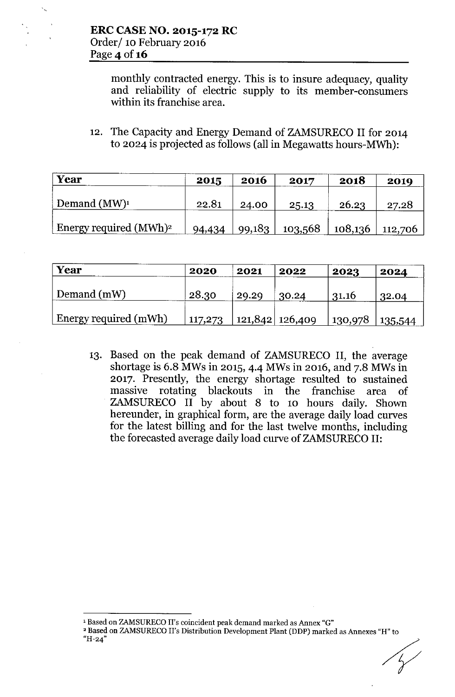monthly contracted energy. This is to insure adequacy, quality and reliability of electric supply to its member-consumers within its franchise area.

12. The Capacity and Energy Demand of ZAMSURECO II for 2014 to 2024 is projected as follows (all in Megawatts hours-MWh):

| Year                                     | 2015   | 2016   | 2017    | 2018                | 2019  |
|------------------------------------------|--------|--------|---------|---------------------|-------|
| Demand $(MW)^1$                          | 22.81  | 24.00  | 25.13   | 26.23               | 27.28 |
| <b>Energy required (MWh)<sup>2</sup></b> | 94,434 | 99,183 | 103,568 | $108,136$   112,706 |       |

| Year                  | 2020    | 2021  | 2022              | 2023    | 2024    |
|-----------------------|---------|-------|-------------------|---------|---------|
| Demand (mW)           | 28.30   | 29.29 | 30.24             | 31.16   | 32.04   |
| Energy required (mWh) | 117,273 |       | 121,842   126,409 | 130,978 | 135,544 |

13. Based on the peak demand of ZAMSURECO II, the average shortage is 6.8 MWs in 2015, 4-4 MWs in 2016, and 7.8 MWs in 2017. Presently, the energy shortage resulted to sustained massive rotating blackouts in the franchise area of ZAMSURECO II by about 8 to 10 hours daily. Shown hereunder, in graphical form, are the average daily load curves for the latest billing and for the last twelve months, including the forecasted average daily load curve of ZAMSURECO II:

<sup>&</sup>lt;sup>1</sup> Based on ZAMSURECO II's coincident peak demand marked as Annex "G"

 $^2$  Based on ZAMSURECO II's Distribution Development Plant (DDP) marked as Annexes "H" to "H-24"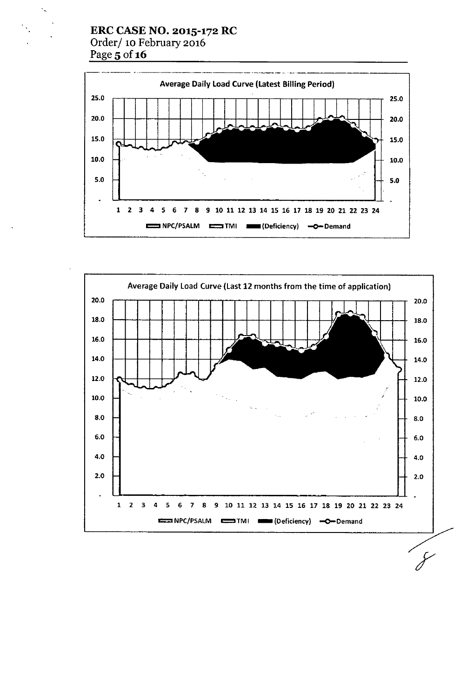### ERC CASE NO. 2015-172 RC Order/ 10 February 2016 Page 5 of 16



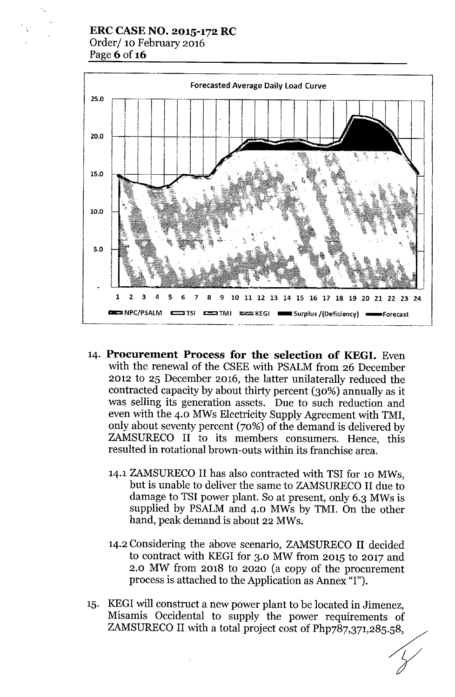### **ERC CASE NO. 2015-172 RC** Order/ 10 February 2016 Page 6 of 16



- 14. **Procurement Process for the selection of KEG!.** Even with the renewal of the CSEE with PSALM from 26 December 2012 to 25 December 2016, the latter unilaterally reduced the contracted capacity by about thirty percent (30%) annually as it was selling its generation assets. Due to such reduction and even with the 4.0 MWs Electricity Supply Agreement with TMI, only about seventy percent (70%) of the demand is delivered by ZAMSURECO II to its members consumers. Hence, this resulted in rotational brown-outs within its franchise area.
	- 14.1 ZAMSURECO II has also contracted with TSI for 10 MWs, but is unable to deliver the same to ZAMSURECO II due to damage to TSI power plant. So at present, only 6.3 MWs is supplied by PSALM and 4.0 MWs by TMI. On the other hand, peak demand is about 22 MWs.
	- 14.2 Considering the above scenario, ZAMSURECO II decided to contract with KEGI for 3.0 MW from 2015 to 2017 and 2.0 MW from 2018 to 2020 (a copy of the procurement process is attached to the Application as Annex "I").
- 15. KEGI will construct a new power plant to be located in Jimenez, Misamis Occidental to supply the power requirements of ZAMSURECO II with a total project cost of Php787,371,285.58,

*. Y*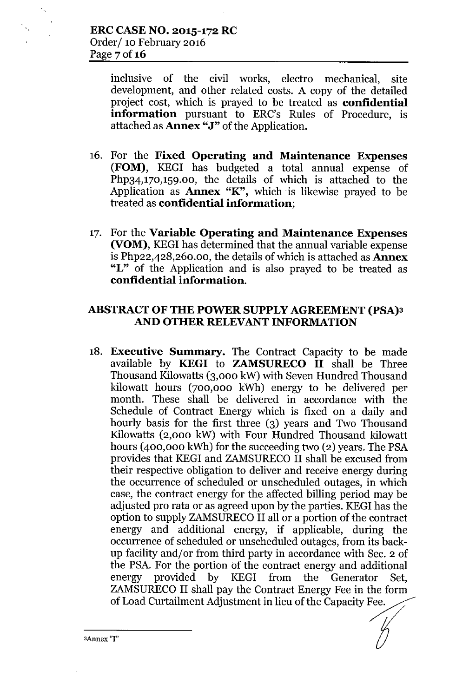inclusive of the civil works, electro mechanical, site development, and other related costs. A copy of the detailed project cost, which is prayed to be treated as confidential information pursuant to ERC's Rules of Procedure, is attached as **Annex "J"** of the Application.

- 16. For the Fixed Operating and Maintenance Expenses (FOM), KEGI has budgeted a total annual expense of Php34,170,159.00, the details of which is attached to the Application as  $A$ nnex "K", which is likewise prayed to be treated as confidential information;
- 17. For the Variable Operating and Maintenance Expenses (VOM), KEGI has determined that the annual variable expense is Php22,428,260.00, the details of which is attached as  ${\bf$ "L" of the Application and is also prayed to be treated as confidential information.

### ABSTRACT OF THE POWER SUPPLY AGREEMENT (PSA)3 AND OTHER RELEVANT INFORMATION

18. Executive Summary. The Contract Capacity to be made available by KEGI to ZAMSURECO II shall be Three Thousand Kilowatts (3,000 kW) with Seven Hundred Thousand kilowatt hours (700,000 kWh) energy to be delivered per month. These shall be delivered in accordance with the Schedule of Contract Energy which is fixed on a daily and hourly basis for the first three (3) years and Two Thousand Kilowatts (2,000 kW) with Four Hundred Thousand kilowatt hours  $(400,000 \text{ kWh})$  for the succeeding two  $(2)$  years. The PSA provides that KEGI and ZAMSURECO II shall be excused from their respective obligation to deliver and receive energy during the occurrence of scheduled or unscheduled outages, in which case, the contract energy for the affected billing period may be adjusted pro rata or as agreed upon by the parties. KEGI has the option to supply ZAMSURECO II all or a portion of the contract energy and additional energy, if applicable, during the occurrence of scheduled or unscheduled outages, from its backup facility and/or from third party in accordance with Sec. 2 of the PSA.For the portion of the contract energy and additional energy provided by KEGI from the Generator Set, ZAMSURECO II shall pay the Contract Energy Fee in the form of Load Curtailment Adjustment in lieu of the Capacity Fee.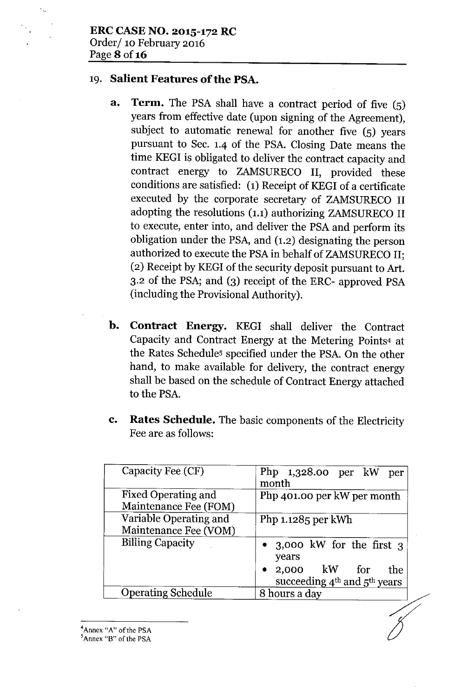### 19. Salient Features of the PSA.

- a. Term. The PSA shall have a contract period of five (5) years from effective date (upon signing of the Agreement), subject to automatic renewal for another five (5) years pursuant to Sec. 1.4 of the PSA. Closing Date means the time KEGI is obligated to deliver the contract capacity and contract energy to ZAMSURECO II, provided these conditions are satisfied: (1) Receipt of KEGIof a certificate executed by the corporate secretary of ZAMSURECO II adopting the resolutions (1.1) authorizing ZAMSURECO II to execute, enter into, and deliver the PSA and perform its obligation under the PSA, and (1.2) designating the person authorized to execute the PSA in behalf of ZAMSURECO II; (2) Receipt by KEGIof the security deposit pursuant to Art. 3.2 of the PSA; and (3) receipt of the ERC- approved PSA (including the Provisional Authority).
- b. Contract Energy. KEGI shall deliver the Contract Capacity and Contract Energy at the Metering Points4 at the Rates Schedules specified under the PSA. On the other hand, to make available for delivery, the contract energy shall be based on the schedule of Contract Energy attached to the PSA.
- c. Rates Schedule. The basic components of the Electricity Fee are as follows:

| Capacity Fee (CF)                               | Php $1,328.00$ per kW per<br>month                                                               |
|-------------------------------------------------|--------------------------------------------------------------------------------------------------|
| Fixed Operating and<br>Maintenance Fee (FOM)    | Php 401.00 per kW per month                                                                      |
| Variable Operating and<br>Maintenance Fee (VOM) | Php 1.1285 per kWh                                                                               |
| <b>Billing Capacity</b>                         | • 3,000 kW for the first 3<br>years<br>$2,000$ kW for<br>the<br>succeeding $4th$ and $5th$ years |
| <b>Operating Schedule</b>                       | 8 hours a day                                                                                    |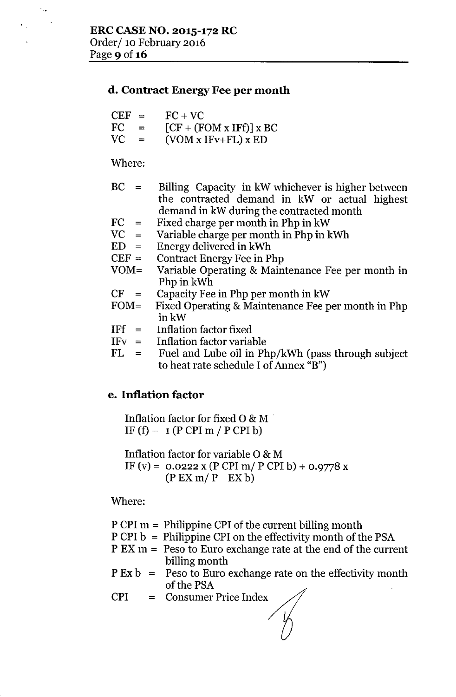### d. Contract Energy Fee per month

| $CEF =$ |      | $FC + VC$                 |
|---------|------|---------------------------|
| FC.     | $=$  | $[CF + (FOM x IFf)] x BC$ |
| VC.     | - 22 | $(VOM x IFv+FL) x ED$     |

Where:

 $\mathcal{L}_{\text{max}}$ 

- $BC =$ Billing Capacity in kW whichever is higher between the contracted demand in kW or actual highest demand in kW during the contracted month
- $FC =$ Fixed charge per month in Php in kW
- $VC =$ Variable charge per month in Php in kWh
- $ED =$ Energy delivered in kWh
- $CEF =$ Contract Energy Fee in Php
- VOM= Variable Operating & Maintenance Fee per month in Php in kWh
- $CF =$ Capacity Fee in Php per month in kW
- $FOM =$ Fixed Operating & Maintenance Fee per month in Php inkW
- $IFf =$ Inflation factor fixed
- $IFv =$ Inflation factor variable
- $FL =$ Fuel and Lube oil in Php/kWh (pass through subject to heat rate schedule I of Annex  $\mathbf{B}$ ")

# e. Inflation factor

Inflation factor for fixed 0 & M . IF  $(f) = 1(P \text{ CPI m} / P \text{ CPI b})$ 

Inflation factor for variable 0 & M IF (v) =  $0.0222$  x (P CPI m/ P CPI b) +  $0.9778$  x (PEXm/P EX b)

Where:

P CPI m = Philippine CPI of the current billing month

- P CPI b = Philippine CPI on the effectivity month of the PSA
- P EX m = Peso to Euro exchange rate at the end of the current billing month
- P Ex b = Peso to Euro exchange rate on the effectivity month of the PSA
- CPI = Consumer Price Index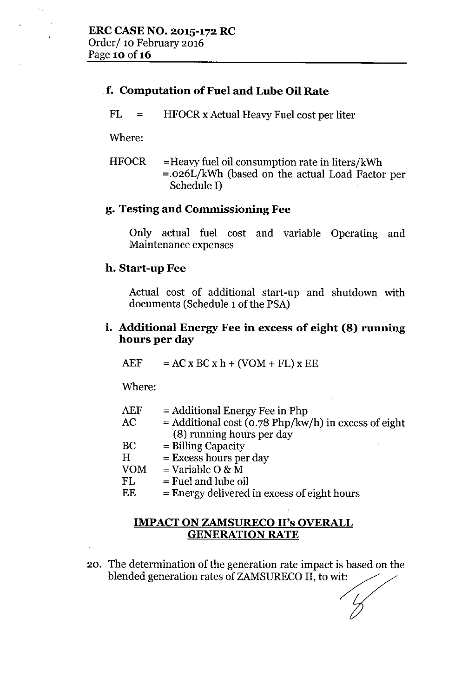## .f. Computation of Fuel and Lube Oil Rate

 $FL =$ HFOCRx Actual Heavy Fuel cost per liter

Where:

 $\ddot{\phantom{a}}$  ,

HFOCR =Heavy fuel oil consumption rate in liters/kWh =.026L/kWh (based on the actual Load Factor per Schedule I)

# g. Testing and Commissioning Fee

Only actual fuel cost and variable Operating and Maintenance expenses

## h. Start-up Fee

Actual cost of additional start-up and shutdown with documents (Schedule 1of the PSA)

## i. Additional Energy Fee in excess of eight (8) running hours per day

 $AEF$  =  $AC \times BC \times h + (VOM + FL) \times EE$ 

Where:

| AEF       | $=$ Additional Energy Fee in Php                       |
|-----------|--------------------------------------------------------|
| $\rm AC$  | $=$ Additional cost (0.78 Php/kw/h) in excess of eight |
|           | (8) running hours per day                              |
| BC        | $=$ Billing Capacity                                   |
| Η         | $=$ Excess hours per day                               |
| $\rm VOM$ | $=$ Variable O & M                                     |
| FL        | $=$ Fuel and lube oil                                  |
| TH        |                                                        |

 $EE = Energy$  delivered in excess of eight hours

## IMPACT ON ZAMSURECO II's OVERALL GENERATION RATE

20. The determination of the generation rate impact is based on the blended generation rates of ZAMSURECO II, to wit: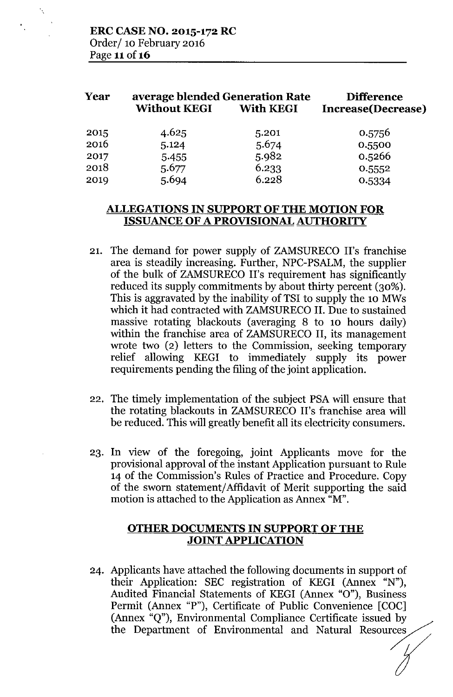| Year | average blended Generation Rate<br><b>Without KEGI</b> | <b>Difference</b><br>Increase(Decrease) |        |  |
|------|--------------------------------------------------------|-----------------------------------------|--------|--|
| 2015 | 4.625                                                  | 5.201                                   | 0.5756 |  |
| 2016 | 5.124                                                  | 5.674                                   | 0.5500 |  |
| 2017 | 5.455                                                  | 5.982                                   | 0.5266 |  |
| 2018 | 5.677                                                  | 6.233                                   | 0.5552 |  |
| 2019 | 5.694                                                  | 6.228                                   | 0.5334 |  |

### **ALLEGATIONS IN SUPPORT OF THE MOTION FOR ISSUANCE OF A PROVISIONAL AUTHORITY**

- 21. The demand for power supply of ZAMSURECO II's franchise area is steadily increasing. Further, NPC-PSALM, the supplier of the bulk of ZAMSURECO II's requirement has significantly reduced its supply commitments by about thirty percent (30%). This is aggravated by the inability of TSI to supply the 10 MWs which it had contracted with ZAMSURECO II. Due to sustained massive rotating blackouts (averaging 8 to 10 hours daily) within the franchise area of ZAMSURECO **II,** its management wrote two (2) letters to the Commission, seeking temporary relief allowing KEGI to immediately supply its power requirements pending the filing of the joint application.
- 22. The timely implementation of the subject PSA will ensure that the rotating blackouts in ZAMSURECO II's franchise area will be reduced. This will greatly benefit all its electricity consumers.
- 23. In view of the foregoing, joint Applicants move for the provisional approval of the instant Application pursuant to Rule 14 of the Commission's Rules of Practice and Procedure. Copy of the sworn statement/Affidavit of Merit supporting the said motion is attached to the Application as Annex "M".

### **OTHER DOCUMENTS IN SUPPORT OF THE JOINT APPLICATION**

24. Applicants have attached the following documents in support of their Application: SEC registration of KEGI (Annex "N"), Audited Financial Statements of KEGI (Annex "0"), Business Permit (Annex "P"), Certificate of Public Convenience [COC] (Annex "Q"), Environmental Compliance Certificate issued by the Department of Environmental and Natural Resources

 $\begin{matrix}\n\text{cos}\n\text{cos}\n\text{cos}\n\text{cos}\n\text{cos}\n\text{cos}\n\text{cos}\n\text{cos}\n\text{cos}\n\text{cos}\n\text{cos}\n\text{cos}\n\text{cos}\n\text{cos}\n\text{cos}\n\text{cos}\n\text{cos}\n\text{cos}\n\text{cos}\n\text{cos}\n\text{cos}\n\text{cos}\n\text{cos}\n\text{cos}\n\text{cos}\n\text{cos}\n\text{cos}\n\text{cos}\n\text{cos}\n\text{cos}\n\text{cos}\n\text{cos}\n\text{cos}\n\text{cos}\n\text{cos}\n\text{cos$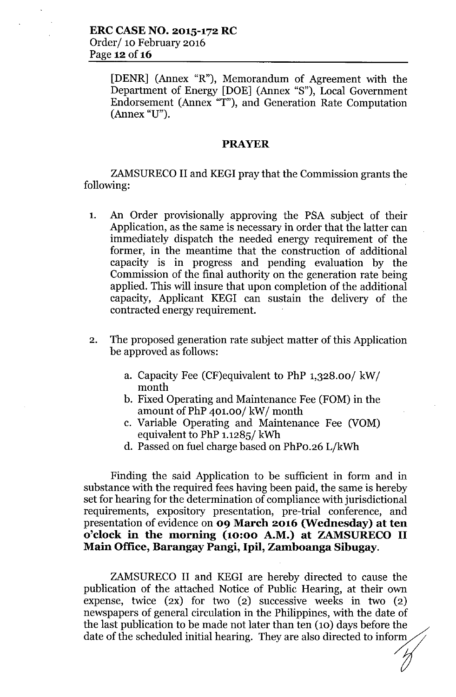[DENR] (Annex "R"), Memorandum of Agreement with the Department of Energy [DOE] (Annex "S"), Local Government Endorsement (Annex "T"), and Generation Rate Computation (Annex "U").

#### **PRAYER**

ZAMSURECO II and KEGI pray that the Commission grants the following:

- 1. An Order provisionally approving the PSA subject of their Application, as the same is necessary in order that the latter can immediately dispatch the needed energy requirement of the former, in the meantime that the construction of additional capacity is in progress and pending evaluation by the Commission of the final authority on the generation rate being applied. This will insure that upon completion of the additional capacity, Applicant KEGI can sustain the delivery of the contracted energy requirement.
- 2. The proposed generation rate subject matter of this Application be approved as follows:
	- a. Capacity Fee (CF)equivalent to PhP 1,328.00/ kW/ month
	- b. Fixed Operating and Maintenance Fee (FOM) in the amount of PhP 401.00/ kW/ month
	- c. Variable Operating and Maintenance Fee (VOM) equivalent to PhP 1.1285/ kWh
	- d. Passed on fuel charge based on PhPo.26 L/kWh

Finding the said Application to be sufficient in form and in substance with the required fees having been paid, the same is hereby set for hearing for the determination of compliance with jurisdictional requirements, expository presentation, pre-trial conference, and presentation of evidence on **09 March 2016 (Wednesday) at ten o'clock in the morning (10:00 A.M.) at ZAMSURECO II Main Office, Barangay Pangi, Ipil, Zamboanga Sibugay.**

ZAMSURECO II and KEGI are hereby directed to cause the publication of the attached Notice of Public Hearing, at their own expense, twice  $(2x)$  for two  $(2)$  successive weeks in two  $(2)$ newspapers of general circulation in the Philippines, with the date of the last publication to be made not later than ten (10) days before the date of the scheduled initial hearing. They are also directed to inform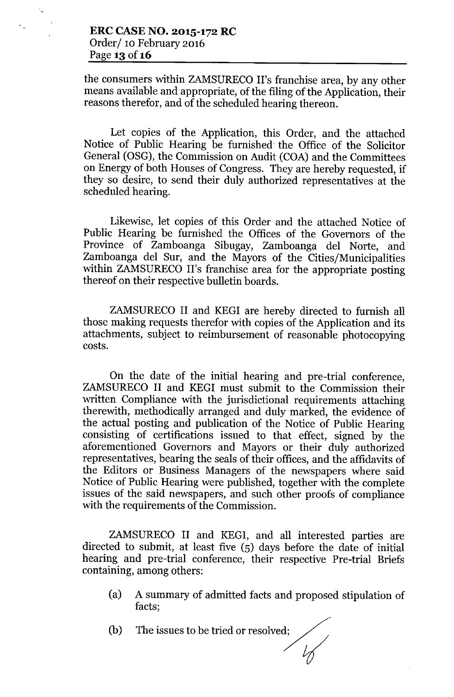the consumers within ZAMSURECO II's franchise area, by any other means available and appropriate, of the filing of the Application, their reasons therefor, and of the scheduled hearing thereon.

Let copies of the Application, this Order, and the attached Notice of Public Hearing be furnished the Office of the Solicitor General (OSG), the Commission on Audit (COA) and the Committees on Energy of both Houses of Congress. They are hereby requested, if they so desire, to send their duly authorized representatives at the scheduled hearing.

Likewise, let copies of this Order and the attached Notice of Public Hearing be furnished the Offices of the Governors of the Province of Zamboanga Sibugay, Zamboanga del Norte, and Zamboanga del Sur, and the Mayors of the Cities/Municipalities within ZAMSURECO II's franchise area for the appropriate posting thereof on their respective bulletin boards.

ZAMSURECO II and KEGI are hereby directed to furnish all those making requests therefor with copies of the Application and its attachments, subject to reimbursement of reasonable photocopying costs.

On the date of the initial hearing and pre-trial conference, ZAMSURECO II and KEGI must submit to the Commission their written Compliance with the jurisdictional requirements attaching therewith, methodically arranged and duly marked, the evidence of the actual posting and publication of the Notice of Public Hearing consisting of certifications issued to that effect, signed by the aforementioned Governors and Mayors or their duly authorized representatives, bearing the seals of their offices, and the affidavits of the Editors or Business Managers of the newspapers where said Notice of Public Hearing were published, together with the complete issues of the said newspapers, and such other proofs of compliance with the requirements of the Commission.

ZAMSURECO II and KEGI, and all interested parties are directed to submit, at least five (5) days before the date of initial hearing and pre-trial conference, their respective Pre-trial Briefs containing, among others:

- (a) A summary of admitted facts and proposed stipulation of facts;
- (b) The issues to be tried or resolved;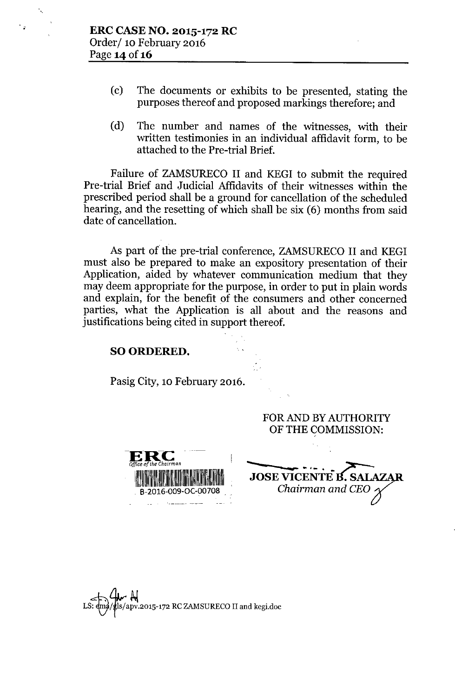$\overline{z}$ 

- (c) The documents or exhibits to be presented, stating the purposes thereof and proposed markings therefore; and
- (d) The number and names of the witnesses, with their written testimonies in an individual affidavit form, to be attached to the Pre-trial Brief.

Failure of ZAMSURECO II and KEGI to submit the required Pre-trial Brief and Judicial Affidavits of their witnesses within the prescribed period shall be a ground for cancellation of the scheduled hearing, and the resetting of which shall be six (6) months from said date of cancellation.

As part of the pre-trial conference, ZAMSURECO II and KEGI must also be prepared to make an expository presentation of their Application, aided by whatever communication medium that they may deem appropriate for the purpose, in order to put in plain words and explain, for the benefit of the consumers and other concerned parties, what the Application is all about and the reasons and justifications being cited in support thereof.

#### SO ORDERED.

Pasig City, 10 February 2016.

FOR AND BY AUTHORITY OF THE COMMISSION:

**-ER-c .** *Office of the ChaIrman* 111~1~,IIIIIII,~I~IIIIII::I~~~111 . B-2016-009-OC-007 and the company of the company of the company of the company of the company of the company of the company of the company of the company of the company of the company of the company of the company of the company of the comp

JOSE VICENTE B. SALAZAR *Chairman* and *CEO*  $\cdot$ 

 $\begin{array}{ll} \bigstar \ \bigstar \ \bigstar \ \end{array}$ de  $\begin{array}{ll} \bigstar \ \star \end{array}$  and kegi.doc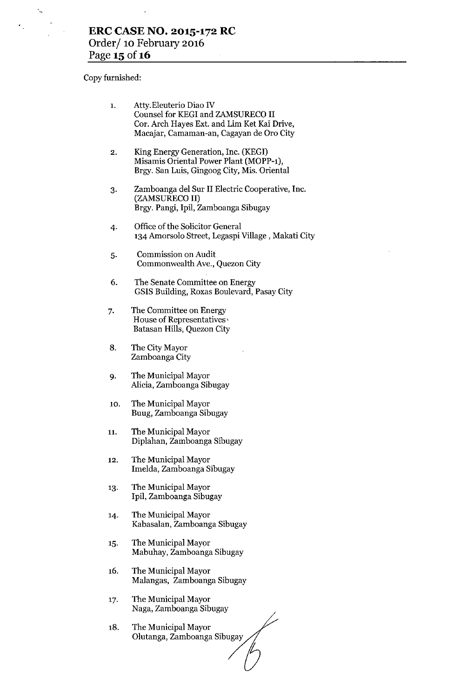l,

Copy furnished:

 $\sim$ 

| 1.  | Atty. Eleuterio Diao IV<br>Counsel for KEGI and ZAMSURECO II<br>Cor. Arch Hayes Ext. and Lim Ket Kai Drive,<br>Macajar, Camaman-an, Cagayan de Oro City |
|-----|---------------------------------------------------------------------------------------------------------------------------------------------------------|
| 2.  | King Energy Generation, Inc. (KEGI)<br>Misamis Oriental Power Plant (MOPP-1),<br>Brgy. San Luis, Gingoog City, Mis. Oriental                            |
| 3.  | Zamboanga del Sur II Electric Cooperative, Inc.<br>(ZAMSURECO II)<br>Brgy. Pangi, Ipil, Zamboanga Sibugay                                               |
| 4.  | Office of the Solicitor General<br>134 Amorsolo Street, Legaspi Village, Makati City                                                                    |
| 5.  | Commission on Audit<br>Commonwealth Ave., Quezon City                                                                                                   |
| 6.  | The Senate Committee on Energy<br>GSIS Building, Roxas Boulevard, Pasay City                                                                            |
| 7.  | The Committee on Energy<br>House of Representatives<br>Batasan Hills, Quezon City                                                                       |
| 8.  | The City Mayor<br>Zamboanga City                                                                                                                        |
| 9.  | The Municipal Mayor<br>Alicia, Zamboanga Sibugay                                                                                                        |
| 10. | The Municipal Mayor<br>Buug, Zamboanga Sibugay                                                                                                          |
| 11  | The Municipal Mayor<br>Diplahan, Zamboanga Sibugay                                                                                                      |
| 12. | The Municipal Mayor<br>Imelda, Zamboanga Sibugay                                                                                                        |
| 13. | The Municipal Mayor<br>Ipil, Zamboanga Sibugay                                                                                                          |
| 14. | The Municipal Mayor<br>Kabasalan, Zamboanga Sibugay                                                                                                     |
| 15. | The Municipal Mayor<br>Mabuhay, Zamboanga Sibugay                                                                                                       |
| 16. | The Municipal Mayor<br>Malangas, Zamboanga Sibugay                                                                                                      |
| 17. | The Municipal Mayor<br>Naga, Zamboanga Sibugay                                                                                                          |
| 18. | The Municipal Mayor<br>Olutanga, Zamboanga Sibugay                                                                                                      |
|     |                                                                                                                                                         |